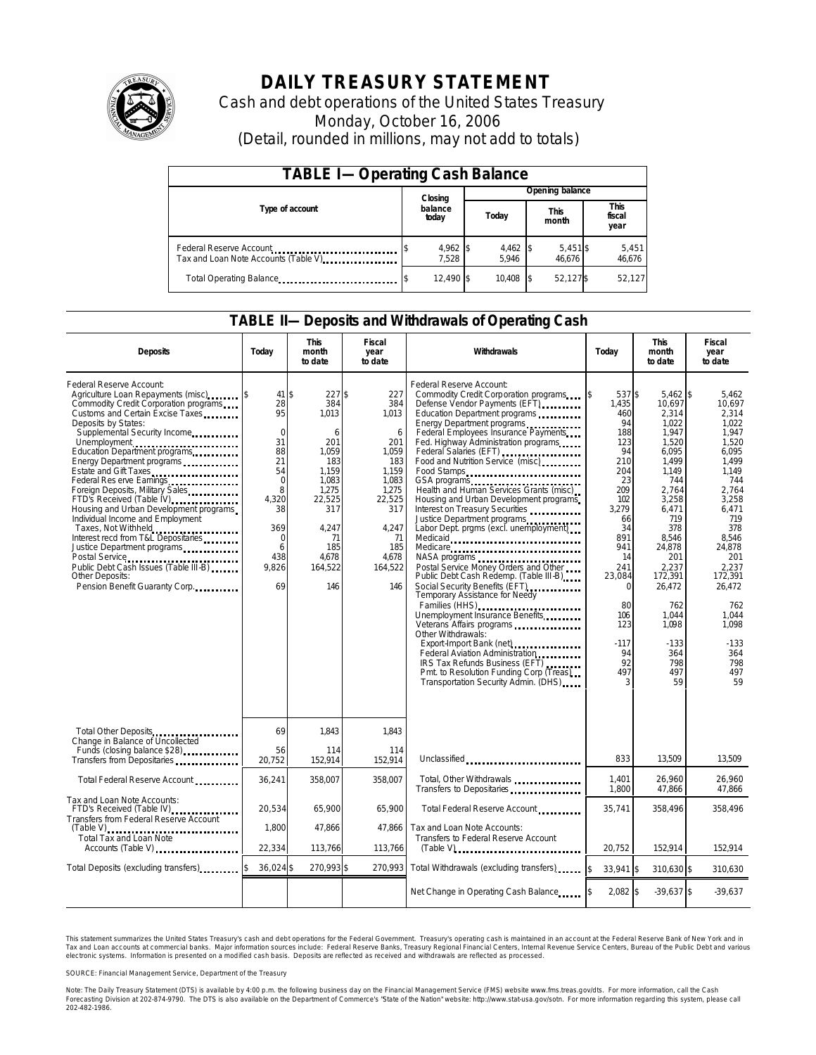

# **DAILY TREASURY STATEMENT**

Cash and debt operations of the United States Treasury Monday, October 16, 2006 (Detail, rounded in millions, may not add to totals)

| <b>TABLE I-Operating Cash Balance</b>                            |                   |                     |                      |                        |  |  |  |
|------------------------------------------------------------------|-------------------|---------------------|----------------------|------------------------|--|--|--|
|                                                                  | Closing           | Opening balance     |                      |                        |  |  |  |
| Type of account                                                  | balance<br>today  | Today               | <b>This</b><br>month | This<br>fiscal<br>year |  |  |  |
| Federal Reserve Account<br>Tax and Loan Note Accounts (Table V). | 4,962 \$<br>7.528 | $4,462$ \$<br>5.946 | $5,451$ \$<br>46.676 | 5,451<br>46,676        |  |  |  |
| Total Operating Balance                                          | 12,490 \$         | 10.408              | 52,127\$             | 52,127                 |  |  |  |

### **TABLE II—Deposits and Withdrawals of Operating Cash**

| <b>Deposits</b>                                                                                                                                                                                                                                                                                                                                                                                                                                                                                                                                                                                                                                                                       | Today                                                                                                                                          | <b>This</b><br>month<br>to date                                                                                                                   | <b>Fiscal</b><br>year<br>to date                                                                                                             | Withdrawals                                                                                                                                                                                                                                                                                                                                                                                                                                                                                                                                                                                                                                                                                                                                                                                                                                                                                                                                                            | Today                                                                                                                                                                                                                           | <b>This</b><br>month<br>to date                                                                                                                                                                                                                           | <b>Fiscal</b><br>year<br>to date                                                                                                                                                                                                                     |
|---------------------------------------------------------------------------------------------------------------------------------------------------------------------------------------------------------------------------------------------------------------------------------------------------------------------------------------------------------------------------------------------------------------------------------------------------------------------------------------------------------------------------------------------------------------------------------------------------------------------------------------------------------------------------------------|------------------------------------------------------------------------------------------------------------------------------------------------|---------------------------------------------------------------------------------------------------------------------------------------------------|----------------------------------------------------------------------------------------------------------------------------------------------|------------------------------------------------------------------------------------------------------------------------------------------------------------------------------------------------------------------------------------------------------------------------------------------------------------------------------------------------------------------------------------------------------------------------------------------------------------------------------------------------------------------------------------------------------------------------------------------------------------------------------------------------------------------------------------------------------------------------------------------------------------------------------------------------------------------------------------------------------------------------------------------------------------------------------------------------------------------------|---------------------------------------------------------------------------------------------------------------------------------------------------------------------------------------------------------------------------------|-----------------------------------------------------------------------------------------------------------------------------------------------------------------------------------------------------------------------------------------------------------|------------------------------------------------------------------------------------------------------------------------------------------------------------------------------------------------------------------------------------------------------|
| Federal Reserve Account:<br>Agriculture Loan Repayments (misc) [5]<br>Commodity Credit Corporation programs<br>Customs and Certain Excise Taxes<br>Deposits by States:<br>Supplemental Security Income<br>Unemployment<br>Education Department programs<br>Energy Department programs<br>Estate and Gift Taxes<br>Federal Res erve Earnings<br>Foreign Deposits, Military Sales<br>FTD's Received (Table IV)<br>Housing and Urban Development programs<br>Individual Income and Employment<br>Taxes, Not Withheld<br>Interest recd from T&L Depositaries<br>Justice Department programs<br>Public Debt Cash Issues (Table III-B)<br>Other Deposits:<br>Pension Benefit Guaranty Corp. | $41$ \$<br>28<br>95<br>$\mathbf 0$<br>31<br>88<br>21<br>54<br>$\mathbf 0$<br>8<br>4.320<br>38<br>369<br>$\mathbf 0$<br>6<br>438<br>9,826<br>69 | $227$ \$<br>384<br>1,013<br>6<br>201<br>1.059<br>183<br>1.159<br>1,083<br>1.275<br>22,525<br>317<br>4.247<br>71<br>185<br>4.678<br>164,522<br>146 | 227<br>384<br>1,013<br>6<br>201<br>1.059<br>183<br>1,159<br>1,083<br>1.275<br>22,525<br>317<br>4.247<br>71<br>185<br>4.678<br>164,522<br>146 | Federal Reserve Account:<br>Commodity Credit Corporation programs<br>Defense Vendor Payments (EFT)<br>Education Department programs<br>Energy Department programs<br>Federal Employees Insurance Payments<br>Fed. Highway Administration programs<br>Federal Salaries (EFT)<br>Food and Nutrition Service (misc)<br>Food Stamps<br>GSA programs<br>Health and Human Services Grants (misc)<br>Housing and Urban Development programs<br>Interest on Treasury Securities<br>Justice Department programs<br>Labor Dept. prgms (excl. unemployment)<br>Medicaid<br>Medicare<br>Postal Service Money Orders and Other<br>Public Debt Cash Redemp. (Table III-B)<br>Social Security Benefits (EFT)<br>Temporary Assistance for Needy<br>Families (HHS)<br><br>Unemployment Insurance Benefits<br>Other Withdrawals:<br>Federal Aviation Administration<br>IRS Tax Refunds Business (EFT)<br>Pmt. to Resolution Funding Corp (Treas)<br>Transportation Security Admin. (DHS) | 537 \$<br><sup>\$</sup><br>1,435<br>460<br>94<br>188<br>123<br>94<br>210<br>204<br>23<br>209<br>102<br>3,279<br>66<br>34<br>891<br>941<br>14<br>241<br>23,084<br>$\Omega$<br>80<br>106<br>123<br>$-117$<br>94<br>92<br>497<br>3 | $5,462$ \$<br>10,697<br>2,314<br>1.022<br>1,947<br>1,520<br>6,095<br>1.499<br>1.149<br>744<br>2.764<br>3,258<br>6.471<br>719<br>378<br>8.546<br>24,878<br>201<br>2,237<br>172.391<br>26,472<br>762<br>1,044<br>1.098<br>$-133$<br>364<br>798<br>497<br>59 | 5,462<br>10,697<br>2,314<br>1.022<br>1,947<br>1.520<br>6.095<br>1.499<br>1.149<br>744<br>2.764<br>3,258<br>6.471<br>719<br>378<br>8.546<br>24,878<br>201<br>2.237<br>172.391<br>26,472<br>762<br>1,044<br>1.098<br>$-133$<br>364<br>798<br>497<br>59 |
| Total Other Deposits<br>Change in Balance of Uncollected                                                                                                                                                                                                                                                                                                                                                                                                                                                                                                                                                                                                                              | 69                                                                                                                                             | 1.843                                                                                                                                             | 1.843                                                                                                                                        |                                                                                                                                                                                                                                                                                                                                                                                                                                                                                                                                                                                                                                                                                                                                                                                                                                                                                                                                                                        |                                                                                                                                                                                                                                 |                                                                                                                                                                                                                                                           |                                                                                                                                                                                                                                                      |
| Funds (closing balance \$28)<br>Funds (closing balance \$28)<br>Transfers from Depositaries                                                                                                                                                                                                                                                                                                                                                                                                                                                                                                                                                                                           | 56<br>20.752                                                                                                                                   | 114<br>152.914                                                                                                                                    | 114<br>152.914                                                                                                                               | Unclassified<br>                                                                                                                                                                                                                                                                                                                                                                                                                                                                                                                                                                                                                                                                                                                                                                                                                                                                                                                                                       | 833                                                                                                                                                                                                                             | 13.509                                                                                                                                                                                                                                                    | 13,509                                                                                                                                                                                                                                               |
| Total Federal Reserve Account                                                                                                                                                                                                                                                                                                                                                                                                                                                                                                                                                                                                                                                         | 36,241                                                                                                                                         | 358,007                                                                                                                                           | 358,007                                                                                                                                      | Total, Other Withdrawals<br>Transfers to Depositaries                                                                                                                                                                                                                                                                                                                                                                                                                                                                                                                                                                                                                                                                                                                                                                                                                                                                                                                  | 1,401<br>1,800                                                                                                                                                                                                                  | 26,960<br>47,866                                                                                                                                                                                                                                          | 26.960<br>47,866                                                                                                                                                                                                                                     |
| Tax and Loan Note Accounts:<br>FTD's Received (Table IV)<br>Transfers from Federal Reserve Account                                                                                                                                                                                                                                                                                                                                                                                                                                                                                                                                                                                    | 20,534                                                                                                                                         | 65,900                                                                                                                                            | 65,900                                                                                                                                       | Total Federal Reserve Account                                                                                                                                                                                                                                                                                                                                                                                                                                                                                                                                                                                                                                                                                                                                                                                                                                                                                                                                          | 35,741                                                                                                                                                                                                                          | 358,496                                                                                                                                                                                                                                                   | 358,496                                                                                                                                                                                                                                              |
| <b>Total Tax and Loan Note</b><br>Accounts (Table V)                                                                                                                                                                                                                                                                                                                                                                                                                                                                                                                                                                                                                                  | 1,800<br>22,334                                                                                                                                | 47,866<br>113.766                                                                                                                                 | 47.866<br>113,766                                                                                                                            | Tax and Loan Note Accounts:<br>Transfers to Federal Reserve Account                                                                                                                                                                                                                                                                                                                                                                                                                                                                                                                                                                                                                                                                                                                                                                                                                                                                                                    | 20.752                                                                                                                                                                                                                          | 152,914                                                                                                                                                                                                                                                   | 152.914                                                                                                                                                                                                                                              |
| Total Deposits (excluding transfers)                                                                                                                                                                                                                                                                                                                                                                                                                                                                                                                                                                                                                                                  | 36,024 \$                                                                                                                                      | 270,993 \$                                                                                                                                        | 270,993                                                                                                                                      | Total Withdrawals (excluding transfers)                                                                                                                                                                                                                                                                                                                                                                                                                                                                                                                                                                                                                                                                                                                                                                                                                                                                                                                                | $\mathsf{\$}$<br>33.941 \$                                                                                                                                                                                                      | 310.630 \$                                                                                                                                                                                                                                                | 310.630                                                                                                                                                                                                                                              |
|                                                                                                                                                                                                                                                                                                                                                                                                                                                                                                                                                                                                                                                                                       |                                                                                                                                                |                                                                                                                                                   |                                                                                                                                              | Net Change in Operating Cash Balance                                                                                                                                                                                                                                                                                                                                                                                                                                                                                                                                                                                                                                                                                                                                                                                                                                                                                                                                   | $2.082$ \$                                                                                                                                                                                                                      | $-39,637$ \$                                                                                                                                                                                                                                              | $-39,637$                                                                                                                                                                                                                                            |

This statement summarizes the United States Treasury's cash and debt operations for the Federal Government. Treasury's operating cash is maintained in an account at the Federal Reserve Bank of New York and in Tax and Loan accounts at commercial banks. Major information sources include: Federal Reserve Banks, Treasury Regional Financial Centers, Internal Revenue Service Centers, Bureau of the Public Debt and various<br>electronic s

SOURCE: Financial Management Service, Department of the Treasury

Note: The Daily Treasury Statement (DTS) is available by 4:00 p.m. the following business day on the Financial Management Service (FMS) website www.fms.treas.gov/dts. For more information, call the Cash<br>Forecasting Divisio